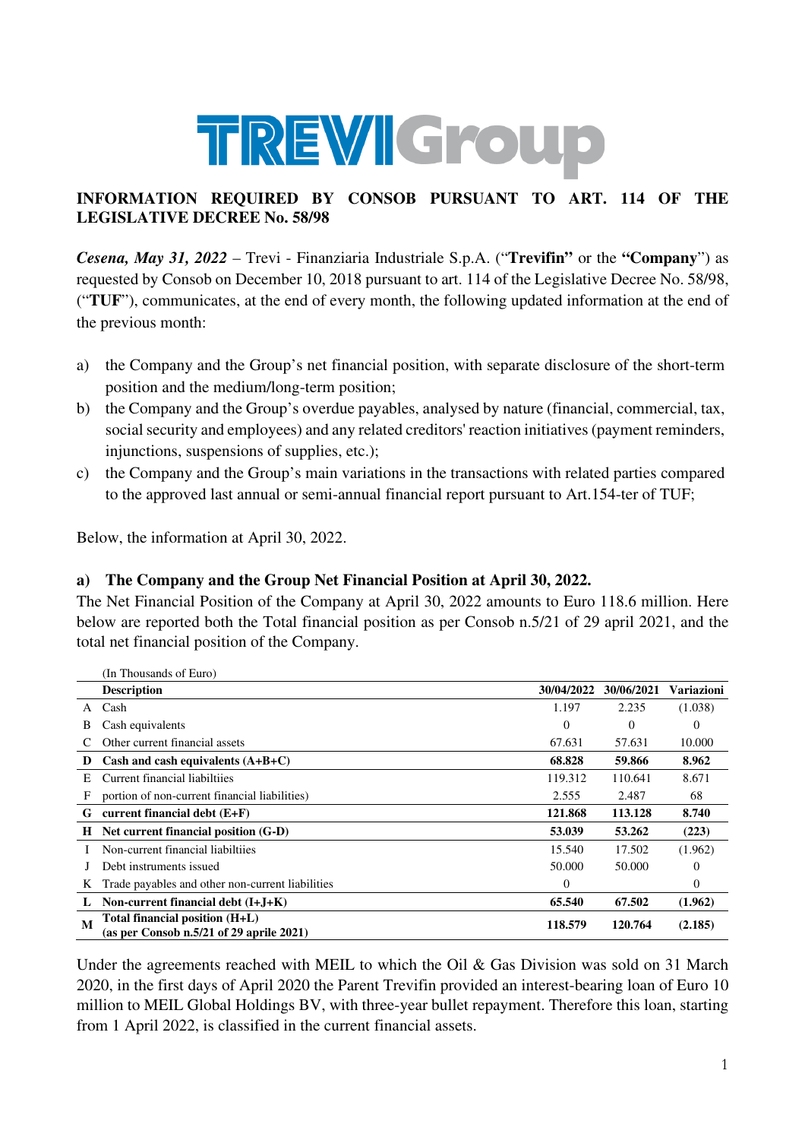

## **INFORMATION REQUIRED BY CONSOB PURSUANT TO ART. 114 OF THE LEGISLATIVE DECREE No. 58/98**

*Cesena, May 31, 2022* – Trevi - Finanziaria Industriale S.p.A. ("**Trevifin"** or the **"Company**") as requested by Consob on December 10, 2018 pursuant to art. 114 of the Legislative Decree No. 58/98, ("**TUF**"), communicates, at the end of every month, the following updated information at the end of the previous month:

- a) the Company and the Group's net financial position, with separate disclosure of the short-term position and the medium/long-term position;
- b) the Company and the Group's overdue payables, analysed by nature (financial, commercial, tax, social security and employees) and any related creditors' reaction initiatives (payment reminders, injunctions, suspensions of supplies, etc.);
- c) the Company and the Group's main variations in the transactions with related parties compared to the approved last annual or semi-annual financial report pursuant to Art.154-ter of TUF;

Below, the information at April 30, 2022.

## **a) The Company and the Group Net Financial Position at April 30, 2022.**

The Net Financial Position of the Company at April 30, 2022 amounts to Euro 118.6 million. Here below are reported both the Total financial position as per Consob n.5/21 of 29 april 2021, and the total net financial position of the Company.

|    | (In Thousands of Euro)                                                       |            |                |            |
|----|------------------------------------------------------------------------------|------------|----------------|------------|
|    | <b>Description</b>                                                           | 30/04/2022 | 30/06/2021     | Variazioni |
| A  | Cash                                                                         | 1.197      | 2.235          | (1.038)    |
| В  | Cash equivalents                                                             | $\theta$   | $\overline{0}$ | $\theta$   |
|    | Other current financial assets                                               | 67.631     | 57.631         | 10.000     |
| D  | Cash and cash equivalents $(A+B+C)$                                          | 68.828     | 59.866         | 8.962      |
| E. | Current financial liabiltiies                                                | 119.312    | 110.641        | 8.671      |
| F  | portion of non-current financial liabilities)                                | 2.555      | 2.487          | 68         |
| G  | current financial debt $(E+F)$                                               | 121.868    | 113.128        | 8.740      |
| H  | Net current financial position (G-D)                                         | 53.039     | 53.262         | (223)      |
|    | Non-current financial liabiltiies                                            | 15.540     | 17.502         | (1.962)    |
|    | Debt instruments issued                                                      | 50.000     | 50,000         | $\Omega$   |
| K  | Trade payables and other non-current liabilities                             | $\Omega$   |                | $\Omega$   |
|    | Non-current financial debt $(I+J+K)$                                         | 65.540     | 67.502         | (1.962)    |
| M  | Total financial position (H+L)<br>(as per Consob $n.5/21$ of 29 aprile 2021) | 118.579    | 120.764        | (2.185)    |

Under the agreements reached with MEIL to which the Oil & Gas Division was sold on 31 March 2020, in the first days of April 2020 the Parent Trevifin provided an interest-bearing loan of Euro 10 million to MEIL Global Holdings BV, with three-year bullet repayment. Therefore this loan, starting from 1 April 2022, is classified in the current financial assets.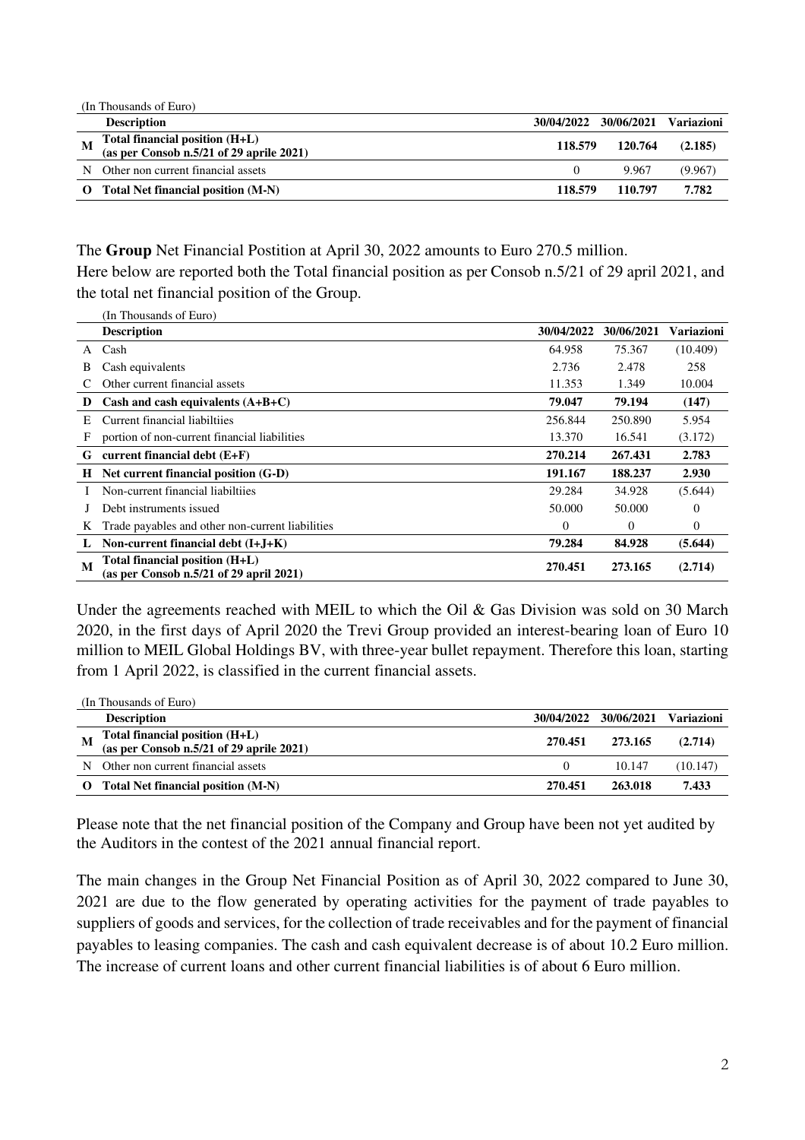|          | (In Thousands of Euro)                                                     |                       |         |                   |
|----------|----------------------------------------------------------------------------|-----------------------|---------|-------------------|
|          | <b>Description</b>                                                         | 30/04/2022 30/06/2021 |         | <b>Variazioni</b> |
| M        | Total financial position (H+L)<br>(as per Consob n.5/21 of 29 aprile 2021) | 118.579               | 120.764 | (2.185)           |
| N        | Other non current financial assets                                         |                       | 9.967   | (9.967)           |
| $\Omega$ | Total Net financial position (M-N)                                         | 118.579               | 110.797 | 7.782             |

The **Group** Net Financial Postition at April 30, 2022 amounts to Euro 270.5 million. Here below are reported both the Total financial position as per Consob n.5/21 of 29 april 2021, and the total net financial position of the Group.

|    | (In Thousands of Euro)                           |            |            |            |
|----|--------------------------------------------------|------------|------------|------------|
|    | <b>Description</b>                               | 30/04/2022 | 30/06/2021 | Variazioni |
| A  | Cash                                             | 64.958     | 75.367     | (10.409)   |
| В  | Cash equivalents                                 | 2.736      | 2.478      | 258        |
|    | Other current financial assets                   | 11.353     | 1.349      | 10.004     |
| D  | Cash and cash equivalents $(A+B+C)$              | 79.047     | 79.194     | (147)      |
| E. | Current financial liabiltiies                    | 256.844    | 250.890    | 5.954      |
| F  | portion of non-current financial liabilities     | 13.370     | 16.541     | (3.172)    |
| G  | current financial debt $(E+F)$                   | 270.214    | 267.431    | 2.783      |
| Н  | Net current financial position (G-D)             | 191.167    | 188.237    | 2.930      |
|    | Non-current financial liabiltiies                | 29.284     | 34.928     | (5.644)    |
|    | Debt instruments issued                          | 50.000     | 50.000     | $\Omega$   |
| K  | Trade payables and other non-current liabilities | $\Omega$   | $\Omega$   | $\Omega$   |
|    | Non-current financial debt $(I+J+K)$             | 79.284     | 84.928     | (5.644)    |
| M  | Total financial position (H+L)                   | 270.451    | 273.165    | (2.714)    |
|    | (as per Consob $n.5/21$ of 29 april 2021)        |            |            |            |

Under the agreements reached with MEIL to which the Oil & Gas Division was sold on 30 March 2020, in the first days of April 2020 the Trevi Group provided an interest-bearing loan of Euro 10 million to MEIL Global Holdings BV, with three-year bullet repayment. Therefore this loan, starting from 1 April 2022, is classified in the current financial assets.

|          | (In Thousands of Euro)                                                       |            |            |                   |
|----------|------------------------------------------------------------------------------|------------|------------|-------------------|
|          | <b>Description</b>                                                           | 30/04/2022 | 30/06/2021 | <b>Variazioni</b> |
| M        | Total financial position (H+L)<br>(as per Consob $n.5/21$ of 29 aprile 2021) | 270.451    | 273.165    | (2.714)           |
| N        | Other non current financial assets                                           | 0          | 10.147     | (10.147)          |
| $\Omega$ | Total Net financial position (M-N)                                           | 270.451    | 263.018    | 7.433             |

Please note that the net financial position of the Company and Group have been not yet audited by the Auditors in the contest of the 2021 annual financial report.

The main changes in the Group Net Financial Position as of April 30, 2022 compared to June 30, 2021 are due to the flow generated by operating activities for the payment of trade payables to suppliers of goods and services, for the collection of trade receivables and for the payment of financial payables to leasing companies. The cash and cash equivalent decrease is of about 10.2 Euro million. The increase of current loans and other current financial liabilities is of about 6 Euro million.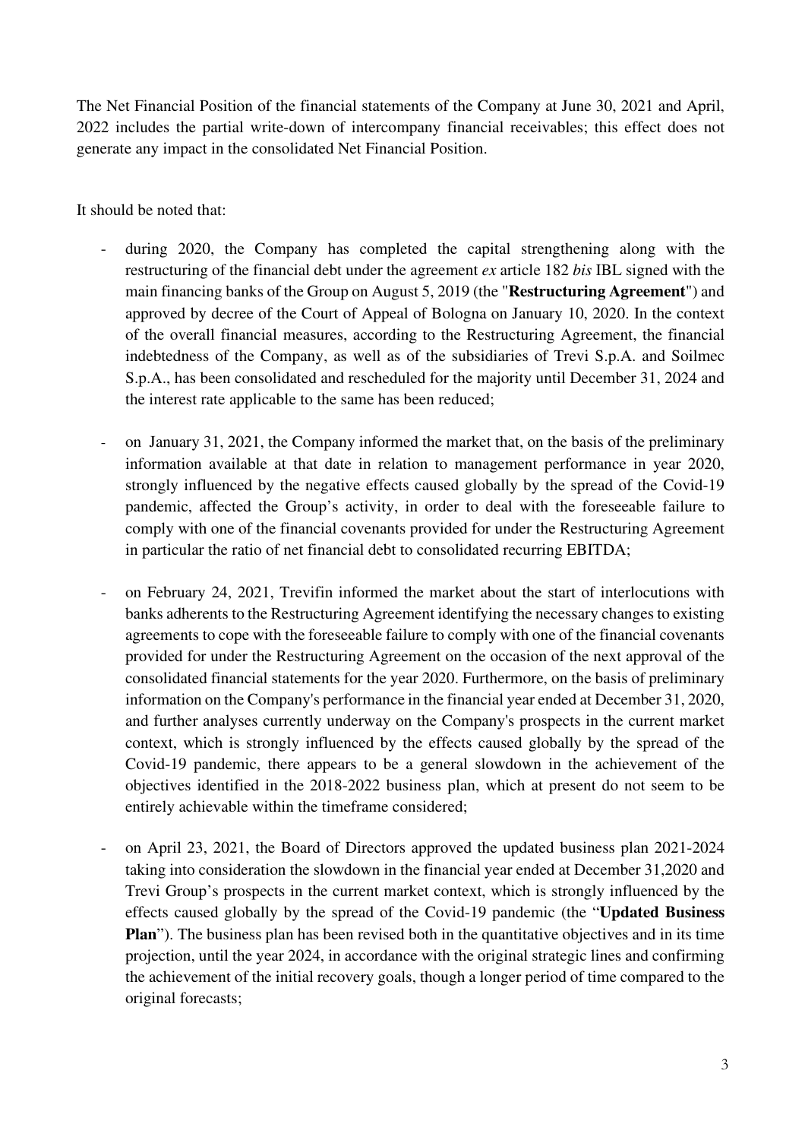The Net Financial Position of the financial statements of the Company at June 30, 2021 and April, 2022 includes the partial write-down of intercompany financial receivables; this effect does not generate any impact in the consolidated Net Financial Position.

It should be noted that:

- during 2020, the Company has completed the capital strengthening along with the restructuring of the financial debt under the agreement *ex* article 182 *bis* IBL signed with the main financing banks of the Group on August 5, 2019 (the "**Restructuring Agreement**") and approved by decree of the Court of Appeal of Bologna on January 10, 2020. In the context of the overall financial measures, according to the Restructuring Agreement, the financial indebtedness of the Company, as well as of the subsidiaries of Trevi S.p.A. and Soilmec S.p.A., has been consolidated and rescheduled for the majority until December 31, 2024 and the interest rate applicable to the same has been reduced;
- on January 31, 2021, the Company informed the market that, on the basis of the preliminary information available at that date in relation to management performance in year 2020, strongly influenced by the negative effects caused globally by the spread of the Covid-19 pandemic, affected the Group's activity, in order to deal with the foreseeable failure to comply with one of the financial covenants provided for under the Restructuring Agreement in particular the ratio of net financial debt to consolidated recurring EBITDA;
- on February 24, 2021, Trevifin informed the market about the start of interlocutions with banks adherents to the Restructuring Agreement identifying the necessary changes to existing agreements to cope with the foreseeable failure to comply with one of the financial covenants provided for under the Restructuring Agreement on the occasion of the next approval of the consolidated financial statements for the year 2020. Furthermore, on the basis of preliminary information on the Company's performance in the financial year ended at December 31, 2020, and further analyses currently underway on the Company's prospects in the current market context, which is strongly influenced by the effects caused globally by the spread of the Covid-19 pandemic, there appears to be a general slowdown in the achievement of the objectives identified in the 2018-2022 business plan, which at present do not seem to be entirely achievable within the timeframe considered;
- on April 23, 2021, the Board of Directors approved the updated business plan 2021-2024 taking into consideration the slowdown in the financial year ended at December 31,2020 and Trevi Group's prospects in the current market context, which is strongly influenced by the effects caused globally by the spread of the Covid-19 pandemic (the "**Updated Business Plan**"). The business plan has been revised both in the quantitative objectives and in its time projection, until the year 2024, in accordance with the original strategic lines and confirming the achievement of the initial recovery goals, though a longer period of time compared to the original forecasts;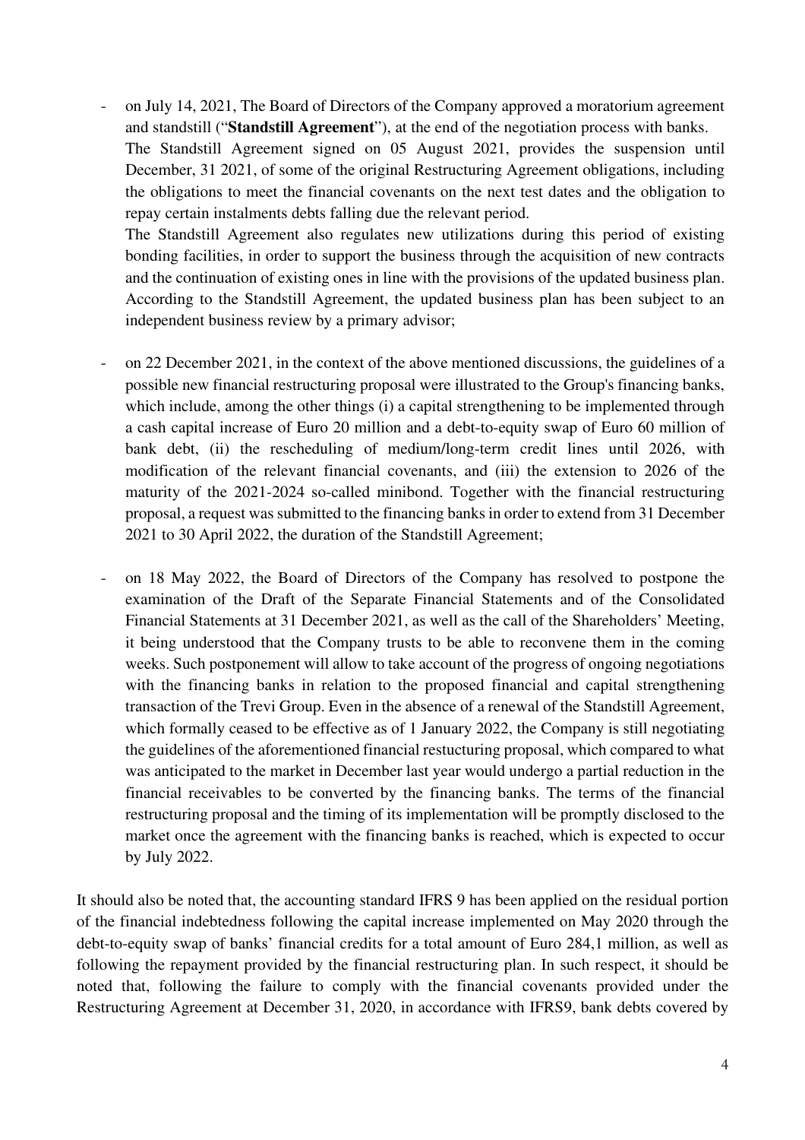- on July 14, 2021, The Board of Directors of the Company approved a moratorium agreement and standstill ("**Standstill Agreement**"), at the end of the negotiation process with banks. The Standstill Agreement signed on 05 August 2021, provides the suspension until

December, 31 2021, of some of the original Restructuring Agreement obligations, including the obligations to meet the financial covenants on the next test dates and the obligation to repay certain instalments debts falling due the relevant period.

The Standstill Agreement also regulates new utilizations during this period of existing bonding facilities, in order to support the business through the acquisition of new contracts and the continuation of existing ones in line with the provisions of the updated business plan. According to the Standstill Agreement, the updated business plan has been subject to an independent business review by a primary advisor;

- on 22 December 2021, in the context of the above mentioned discussions, the guidelines of a possible new financial restructuring proposal were illustrated to the Group's financing banks, which include, among the other things (i) a capital strengthening to be implemented through a cash capital increase of Euro 20 million and a debt-to-equity swap of Euro 60 million of bank debt, (ii) the rescheduling of medium/long-term credit lines until 2026, with modification of the relevant financial covenants, and (iii) the extension to 2026 of the maturity of the 2021-2024 so-called minibond. Together with the financial restructuring proposal, a request was submitted to the financing banks in order to extend from 31 December 2021 to 30 April 2022, the duration of the Standstill Agreement;
- on 18 May 2022, the Board of Directors of the Company has resolved to postpone the examination of the Draft of the Separate Financial Statements and of the Consolidated Financial Statements at 31 December 2021, as well as the call of the Shareholders' Meeting, it being understood that the Company trusts to be able to reconvene them in the coming weeks. Such postponement will allow to take account of the progress of ongoing negotiations with the financing banks in relation to the proposed financial and capital strengthening transaction of the Trevi Group. Even in the absence of a renewal of the Standstill Agreement, which formally ceased to be effective as of 1 January 2022, the Company is still negotiating the guidelines of the aforementioned financial restucturing proposal, which compared to what was anticipated to the market in December last year would undergo a partial reduction in the financial receivables to be converted by the financing banks. The terms of the financial restructuring proposal and the timing of its implementation will be promptly disclosed to the market once the agreement with the financing banks is reached, which is expected to occur by July 2022.

It should also be noted that, the accounting standard IFRS 9 has been applied on the residual portion of the financial indebtedness following the capital increase implemented on May 2020 through the debt-to-equity swap of banks' financial credits for a total amount of Euro 284,1 million, as well as following the repayment provided by the financial restructuring plan. In such respect, it should be noted that, following the failure to comply with the financial covenants provided under the Restructuring Agreement at December 31, 2020, in accordance with IFRS9, bank debts covered by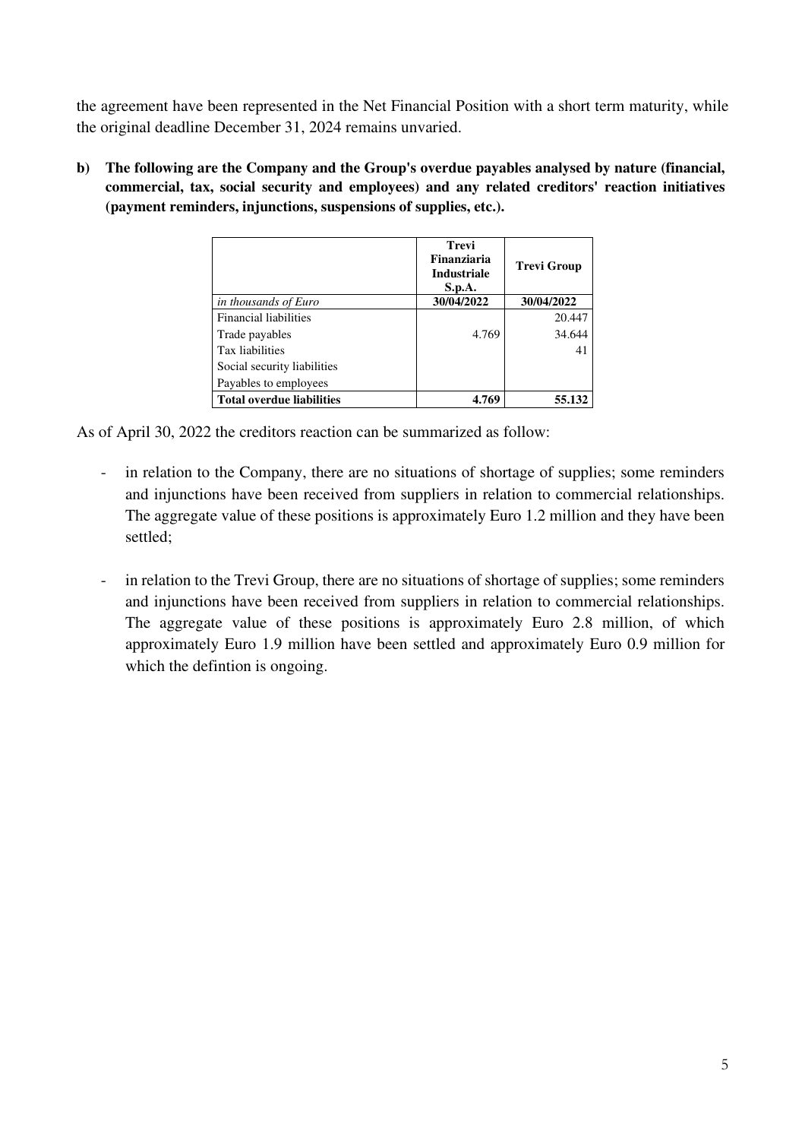the agreement have been represented in the Net Financial Position with a short term maturity, while the original deadline December 31, 2024 remains unvaried.

**b) The following are the Company and the Group's overdue payables analysed by nature (financial, commercial, tax, social security and employees) and any related creditors' reaction initiatives (payment reminders, injunctions, suspensions of supplies, etc.).** 

|                                  | <b>Trevi</b><br>Finanziaria<br><b>Industriale</b><br>S.p.A. | <b>Trevi Group</b> |
|----------------------------------|-------------------------------------------------------------|--------------------|
| in thousands of Euro             | 30/04/2022                                                  | 30/04/2022         |
| <b>Financial liabilities</b>     |                                                             | 20.447             |
| Trade payables                   | 4.769                                                       | 34.644             |
| Tax liabilities                  |                                                             | 41                 |
| Social security liabilities      |                                                             |                    |
| Payables to employees            |                                                             |                    |
| <b>Total overdue liabilities</b> | 4.769                                                       | 55.132             |

As of April 30, 2022 the creditors reaction can be summarized as follow:

- in relation to the Company, there are no situations of shortage of supplies; some reminders and injunctions have been received from suppliers in relation to commercial relationships. The aggregate value of these positions is approximately Euro 1.2 million and they have been settled;
- in relation to the Trevi Group, there are no situations of shortage of supplies; some reminders and injunctions have been received from suppliers in relation to commercial relationships. The aggregate value of these positions is approximately Euro 2.8 million, of which approximately Euro 1.9 million have been settled and approximately Euro 0.9 million for which the defintion is ongoing.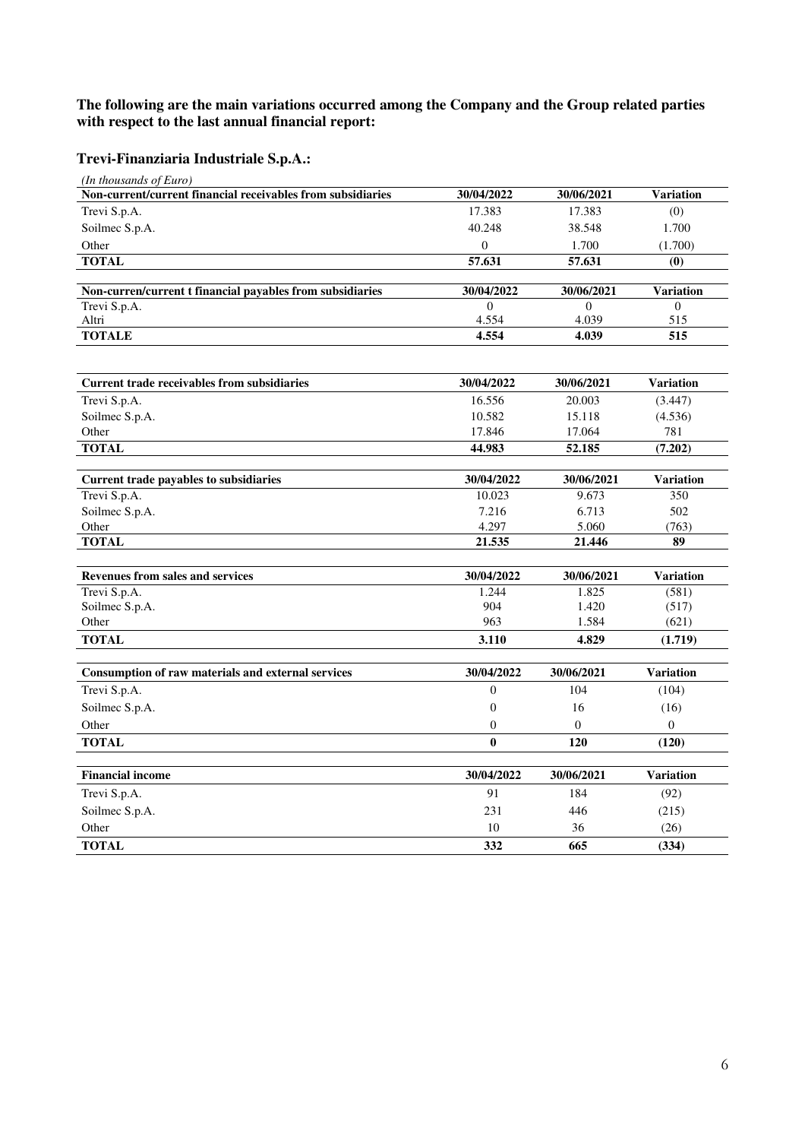### **The following are the main variations occurred among the Company and the Group related parties with respect to the last annual financial report:**

# **Trevi-Finanziaria Industriale S.p.A.:**

| (In thousands of Euro)                                      |                  |                |                       |
|-------------------------------------------------------------|------------------|----------------|-----------------------|
| Non-current/current financial receivables from subsidiaries | 30/04/2022       | 30/06/2021     | <b>Variation</b>      |
| Trevi S.p.A.                                                | 17.383           | 17.383         | (0)                   |
| Soilmec S.p.A.                                              | 40.248           | 38.548         | 1.700                 |
| Other                                                       | $\boldsymbol{0}$ | 1.700          | (1.700)               |
| <b>TOTAL</b>                                                | 57.631           | 57.631         | $\boldsymbol{\theta}$ |
|                                                             |                  |                |                       |
| Non-curren/current t financial payables from subsidiaries   | 30/04/2022       | 30/06/2021     | <b>Variation</b>      |
| Trevi S.p.A.                                                | $\Omega$         | $\Omega$       | $\Omega$              |
| Altri                                                       | 4.554            | 4.039          | 515                   |
| <b>TOTALE</b>                                               | 4.554            | 4.039          | 515                   |
|                                                             |                  |                |                       |
| <b>Current trade receivables from subsidiaries</b>          | 30/04/2022       | 30/06/2021     | <b>Variation</b>      |
| Trevi S.p.A.                                                | 16.556           | 20.003         | (3.447)               |
| Soilmec S.p.A.                                              | 10.582           | 15.118         | (4.536)               |
| Other                                                       | 17.846           | 17.064         | 781                   |
| <b>TOTAL</b>                                                | 44.983           | 52.185         | (7.202)               |
|                                                             |                  |                |                       |
| Current trade payables to subsidiaries                      | 30/04/2022       | 30/06/2021     | <b>Variation</b>      |
| Trevi S.p.A.                                                | 10.023           | 9.673          | 350                   |
| Soilmec S.p.A.                                              | 7.216            | 6.713          | 502                   |
| Other                                                       | 4.297            | 5.060          | (763)                 |
| <b>TOTAL</b>                                                | 21.535           | 21.446         | 89                    |
|                                                             |                  |                |                       |
| <b>Revenues from sales and services</b>                     | 30/04/2022       | 30/06/2021     | <b>Variation</b>      |
| Trevi S.p.A.                                                | 1.244            | 1.825          | (581)                 |
| Soilmec S.p.A.                                              | 904              | 1.420          | (517)                 |
| Other                                                       | 963              | 1.584          | (621)                 |
| <b>TOTAL</b>                                                | 3.110            | 4.829          | (1.719)               |
|                                                             |                  |                |                       |
| Consumption of raw materials and external services          | 30/04/2022       | 30/06/2021     | <b>Variation</b>      |
| Trevi S.p.A.                                                | $\Omega$         | 104            | (104)                 |
| Soilmec S.p.A.                                              | $\mathbf{0}$     | 16             | (16)                  |
| Other                                                       | $\overline{0}$   | $\overline{0}$ | $\overline{0}$        |
| <b>TOTAL</b>                                                | $\mathbf{0}$     | 120            | (120)                 |
|                                                             |                  |                |                       |
| <b>Financial income</b>                                     | 30/04/2022       | 30/06/2021     | <b>Variation</b>      |
| Trevi S.p.A.                                                | 91               | 184            | (92)                  |
| Soilmec S.p.A.                                              | 231              | 446            | (215)                 |
| Other                                                       | 10               | 36             | (26)                  |
| <b>TOTAL</b>                                                | 332              | 665            | (334)                 |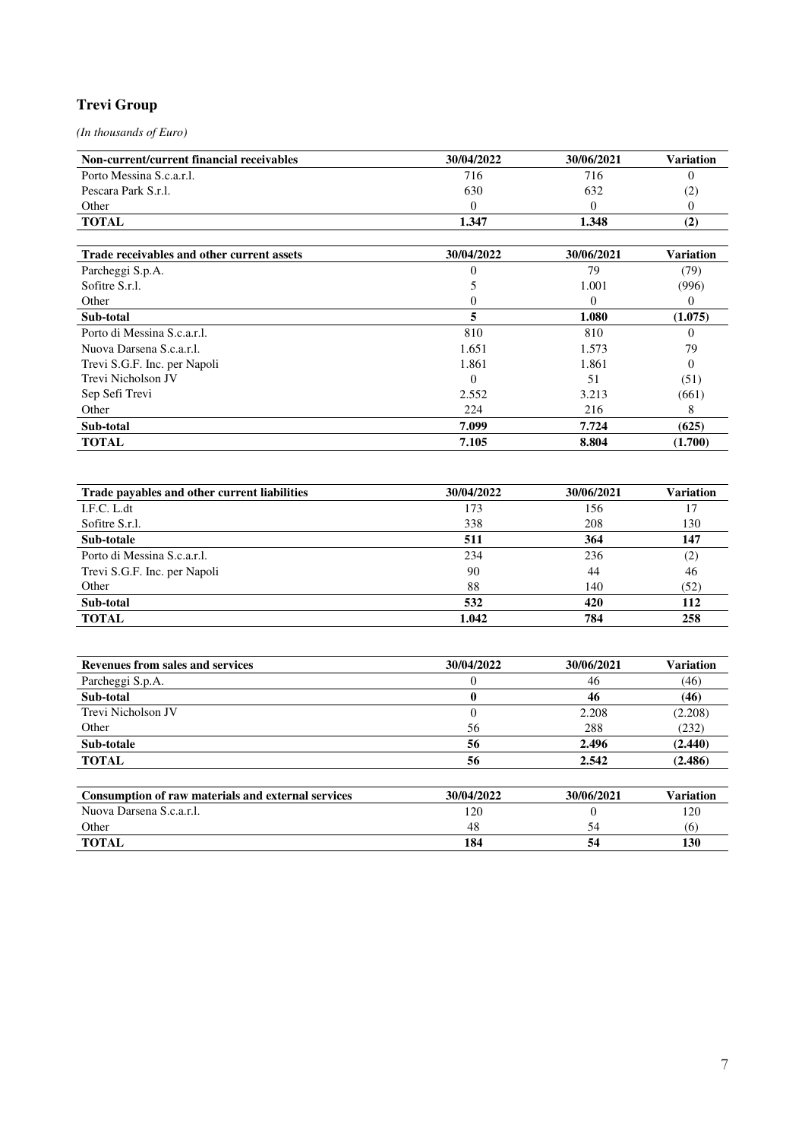### **Trevi Group**

*(In thousands of Euro)* 

| 30/04/2022 | 30/06/2021 | Variation |
|------------|------------|-----------|
| 716        | 716        |           |
| 630        | 632        | (2)       |
|            |            |           |
| 1.347      | 1.348      | ι∠        |
|            |            |           |

| Trade receivables and other current assets | 30/04/2022 | 30/06/2021 | <b>Variation</b> |
|--------------------------------------------|------------|------------|------------------|
| Parcheggi S.p.A.                           |            | 79         | (79)             |
| Sofitre S.r.l.                             |            | 1.001      | (996)            |
| Other                                      |            | $\theta$   | $\theta$         |
| Sub-total                                  | 5          | 1.080      | (1.075)          |
| Porto di Messina S.c.a.r.l.                | 810        | 810        | $\theta$         |
| Nuova Darsena S.c.a.r.l.                   | 1.651      | 1.573      | 79               |
| Trevi S.G.F. Inc. per Napoli               | 1.861      | 1.861      | 0                |
| Trevi Nicholson JV                         |            | 51         | (51)             |
| Sep Sefi Trevi                             | 2.552      | 3.213      | (661)            |
| Other                                      | 224        | 216        | 8                |
| Sub-total                                  | 7.099      | 7.724      | (625)            |
| <b>TOTAL</b>                               | 7.105      | 8.804      | (1.700)          |

| Trade payables and other current liabilities | 30/04/2022 | 30/06/2021 | <b>Variation</b> |
|----------------------------------------------|------------|------------|------------------|
| I.F.C. L.dt                                  | 173        | 156        | 17               |
| Sofitre S.r.l.                               | 338        | 208        | 130              |
| Sub-totale                                   | 511        | 364        | 147              |
| Porto di Messina S.c.a.r.l.                  | 234        | 236        | (2)              |
| Trevi S.G.F. Inc. per Napoli                 | 90         | 44         | 46               |
| Other                                        | 88         | 140        | (52)             |
| Sub-total                                    | 532        | 420        | 112              |
| <b>TOTAL</b>                                 | 1.042      | 784        | 258              |

| <b>Revenues from sales and services</b>                   | 30/04/2022 | 30/06/2021 | Variation |
|-----------------------------------------------------------|------------|------------|-----------|
| Parcheggi S.p.A.                                          |            | 46         | (46)      |
| Sub-total                                                 | v          | 46         | (46)      |
| Trevi Nicholson JV                                        | 0          | 2.208      | (2.208)   |
| Other                                                     | 56         | 288        | (232)     |
| Sub-totale                                                | 56         | 2.496      | (2.440)   |
| <b>TOTAL</b>                                              | 56         | 2.542      | (2.486)   |
| <b>Consumption of raw materials and external services</b> | 30/04/2022 | 30/06/2021 | Variation |
| Nuova Darsena S.c.a.r.l.                                  | 120        | 0          | 120       |
| Other                                                     | 48         | 54         | (6)       |

**TOTAL** 130 **184** 54 130